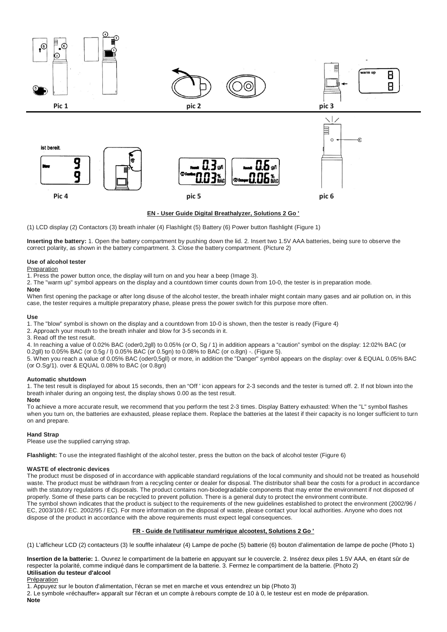

# **EN - User Guide Digital Breathalyzer, Solutions 2 Go '**

(1) LCD display (2) Contactors (3) breath inhaler (4) Flashlight (5) Battery (6) Power button flashlight (Figure 1)

**Inserting the battery:** 1. Open the battery compartment by pushing down the lid. 2. Insert two 1.5V AAA batteries, being sure to observe the correct polarity, as shown in the battery compartment. 3. Close the battery compartment. (Picture 2)

#### **Use of alcohol tester**

# **Preparation**

1. Press the power button once, the display will turn on and you hear a beep (Image 3).

2. The "warm up" symbol appears on the display and a countdown timer counts down from 10-0, the tester is in preparation mode.

**Note**

When first opening the package or after long disuse of the alcohol tester, the breath inhaler might contain many gases and air pollution on, in this case, the tester requires a multiple preparatory phase, please press the power switch for this purpose more often.

#### **Use**

1. The "blow" symbol is shown on the display and a countdown from 10-0 is shown, then the tester is ready (Figure 4)

2. Approach your mouth to the breath inhaler and blow for 3-5 seconds in it.

3. Read off the test result.

4. In reaching a value of 0.02% BAC (oder0,2gll) to 0.05% (or O, Sg / 1) in addition appears a "caution" symbol on the display: 12:02% BAC (or 0.2gll) to 0.05% BAC (or 0.5g / l) 0.05% BAC (or 0.5gn) to 0.08% to BAC (or o.8gn) -. (Figure 5).

5. When you reach a value of 0.05% BAC (oder0,5gll) or more, in addition the "Danger" symbol appears on the display: over & EQUAL 0.05% BAC (or O.Sg/1). over & EQUAL 0.08% to BAC (or 0.8gn)

# **Automatic shutdown**

1. The test result is displayed for about 15 seconds, then an "Off ' icon appears for 2-3 seconds and the tester is turned off. 2. If not blown into the breath inhaler during an ongoing test, the display shows 0.00 as the test result.

#### **Note**

To achieve a more accurate result, we recommend that you perform the test 2-3 times. Display Battery exhausted: When the "L" symbol flashes when you turn on, the batteries are exhausted, please replace them. Replace the batteries at the latest if their capacity is no longer sufficient to turn on and prepare.

#### **Hand Strap**

Please use the supplied carrying strap.

**Flashlight:** To use the integrated flashlight of the alcohol tester, press the button on the back of alcohol tester (Figure 6)

#### **WASTE of electronic devices**

The product must be disposed of in accordance with applicable standard regulations of the local community and should not be treated as household waste. The product must be withdrawn from a recycling center or dealer for disposal. The distributor shall bear the costs for a product in accordance with the statutory regulations of disposals. The product contains non-biodegradable components that may enter the environment if not disposed of properly. Some of these parts can be recycled to prevent pollution. There is a general duty to protect the environment contribute. The symbol shown indicates that the product is subject to the requirements of the new guidelines established to protect the environment (2002/96 / EC, 2003/108 / EC. 2002/95 / EC). For more information on the disposal of waste, please contact your local authorities. Anyone who does not dispose of the product in accordance with the above requirements must expect legal consequences.

# **FR - Guide de l'utilisateur numérique alcootest, Solutions 2 Go '**

(1) L'afficheur LCD (2) contacteurs (3) le souffle inhalateur (4) Lampe de poche (5) batterie (6) bouton d'alimentation de lampe de poche (Photo 1)

**Insertion de la batterie:** 1. Ouvrez le compartiment de la batterie en appuyant sur le couvercle. 2. Insérez deux piles 1.5V AAA, en étant sûr de respecter la polarité, comme indiqué dans le compartiment de la batterie. 3. Fermez le compartiment de la batterie. (Photo 2) **Utilisation du testeur d'alcool**

Préparation

1. Appuyez sur le bouton d'alimentation, l'écran se met en marche et vous entendrez un bip (Photo 3)

2. Le symbole «réchauffer» apparaît sur l'écran et un compte à rebours compte de 10 à 0, le testeur est en mode de préparation.